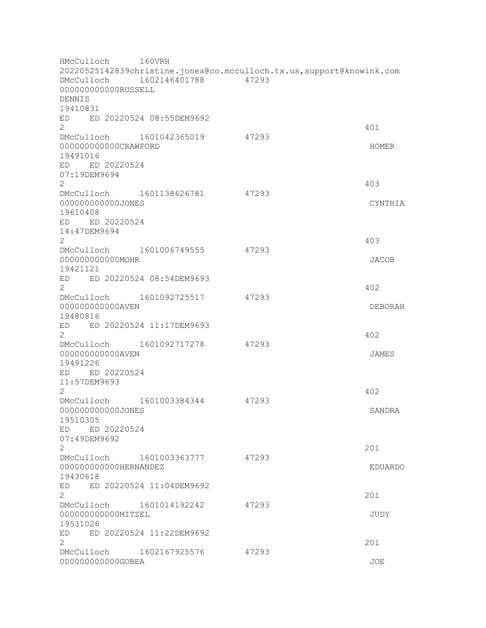HMcCulloch 160VRH 20220525142839christine.jones@co.mcculloch.tx.us,support@knowink.com DMcCulloch 1602146401788 47293 000000000000RUSSELL DENNIS 19410831 ED ED 20220524 08:55DEM9692  $2 \times 401$ DMcCulloch 1601042365019 47293 0000000000000CRAWFORD HOMER SERVICES AND LONGER SERVICES AND LONGER MOMER 19491016 ED ED 20220524 07:19DEM9694 2 403 DMcCulloch 1601138626781 47293 000000000000JONES CYNTHIA 19610408 ED ED 20220524 14:47DEM9694  $2 \times 403$ DMcCulloch 1601006749555 47293 000000000000MOHR JACOB 19421121 ED ED 20220524 08:54DEM9693  $2 \times 402$ DMcCulloch 1601092725517 47293 000000000000AVEN DEBORAH 19480816 ED ED 20220524 11:17DEM9693  $2 \times 402$ DMcCulloch 1601092717278 47293 000000000000AVEN JAMES 19491226 ED ED 20220524 11:57DEM9693  $2 \times 402$ DMcCulloch 1601003384344 47293 000000000000JONES SANDRA 19510305 ED ED 20220524 07:49DEM9692  $201$ DMcCulloch 1601003363777 47293 000000000000HERNANDEZ EDUARDO 19430618 ED ED 20220524 11:04DEM9692 2<sup>2</sup> DMcCulloch 1601014192242 47293 000000000000MITZEL JUDY 19531026 ED ED 20220524 11:22DEM9692  $201$ DMcCulloch 1602167925576 47293 000000000000GOBEA JOE